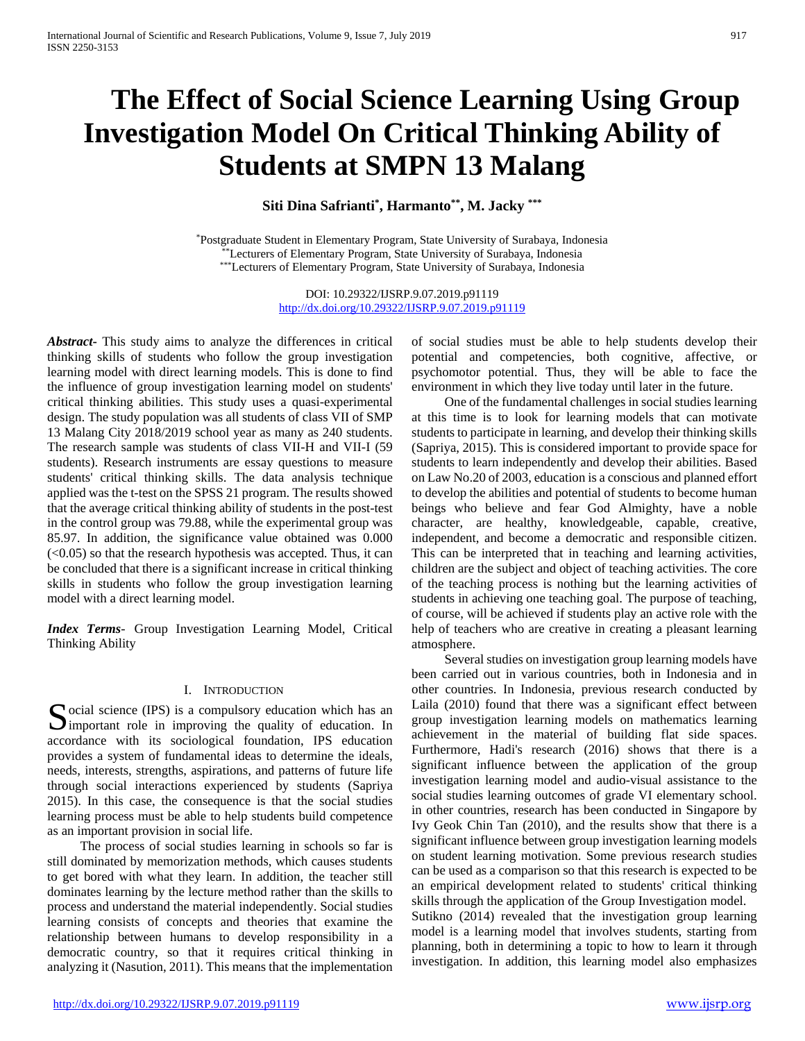# **The Effect of Social Science Learning Using Group Investigation Model On Critical Thinking Ability of Students at SMPN 13 Malang**

**Siti Dina Safrianti\* , Harmanto\*\*, M. Jacky \*\*\***

\*Postgraduate Student in Elementary Program, State University of Surabaya, Indonesia \*\*Lecturers of Elementary Program, State University of Surabaya, Indonesia \*\*\*Lecturers of Elementary Program, State University of Surabaya, Indonesia

> DOI: 10.29322/IJSRP.9.07.2019.p91119 <http://dx.doi.org/10.29322/IJSRP.9.07.2019.p91119>

*Abstract***-** This study aims to analyze the differences in critical thinking skills of students who follow the group investigation learning model with direct learning models. This is done to find the influence of group investigation learning model on students' critical thinking abilities. This study uses a quasi-experimental design. The study population was all students of class VII of SMP 13 Malang City 2018/2019 school year as many as 240 students. The research sample was students of class VII-H and VII-I (59 students). Research instruments are essay questions to measure students' critical thinking skills. The data analysis technique applied was the t-test on the SPSS 21 program. The results showed that the average critical thinking ability of students in the post-test in the control group was 79.88, while the experimental group was 85.97. In addition, the significance value obtained was 0.000  $( $0.05$ )$  so that the research hypothesis was accepted. Thus, it can be concluded that there is a significant increase in critical thinking skills in students who follow the group investigation learning model with a direct learning model.

*Index Terms*- Group Investigation Learning Model, Critical Thinking Ability

## I. INTRODUCTION

Social science (IPS) is a compulsory education which has an improving the quality of education. In  $\sum$  important role in improving the quality of education. In accordance with its sociological foundation, IPS education provides a system of fundamental ideas to determine the ideals, needs, interests, strengths, aspirations, and patterns of future life through social interactions experienced by students (Sapriya 2015). In this case, the consequence is that the social studies learning process must be able to help students build competence as an important provision in social life.

 The process of social studies learning in schools so far is still dominated by memorization methods, which causes students to get bored with what they learn. In addition, the teacher still dominates learning by the lecture method rather than the skills to process and understand the material independently. Social studies learning consists of concepts and theories that examine the relationship between humans to develop responsibility in a democratic country, so that it requires critical thinking in analyzing it (Nasution, 2011). This means that the implementation

of social studies must be able to help students develop their potential and competencies, both cognitive, affective, or psychomotor potential. Thus, they will be able to face the environment in which they live today until later in the future.

 One of the fundamental challenges in social studies learning at this time is to look for learning models that can motivate students to participate in learning, and develop their thinking skills (Sapriya, 2015). This is considered important to provide space for students to learn independently and develop their abilities. Based on Law No.20 of 2003, education is a conscious and planned effort to develop the abilities and potential of students to become human beings who believe and fear God Almighty, have a noble character, are healthy, knowledgeable, capable, creative, independent, and become a democratic and responsible citizen. This can be interpreted that in teaching and learning activities, children are the subject and object of teaching activities. The core of the teaching process is nothing but the learning activities of students in achieving one teaching goal. The purpose of teaching, of course, will be achieved if students play an active role with the help of teachers who are creative in creating a pleasant learning atmosphere.

 Several studies on investigation group learning models have been carried out in various countries, both in Indonesia and in other countries. In Indonesia, previous research conducted by Laila (2010) found that there was a significant effect between group investigation learning models on mathematics learning achievement in the material of building flat side spaces. Furthermore, Hadi's research (2016) shows that there is a significant influence between the application of the group investigation learning model and audio-visual assistance to the social studies learning outcomes of grade VI elementary school. in other countries, research has been conducted in Singapore by Ivy Geok Chin Tan (2010), and the results show that there is a significant influence between group investigation learning models on student learning motivation. Some previous research studies can be used as a comparison so that this research is expected to be an empirical development related to students' critical thinking skills through the application of the Group Investigation model.

Sutikno (2014) revealed that the investigation group learning model is a learning model that involves students, starting from planning, both in determining a topic to how to learn it through investigation. In addition, this learning model also emphasizes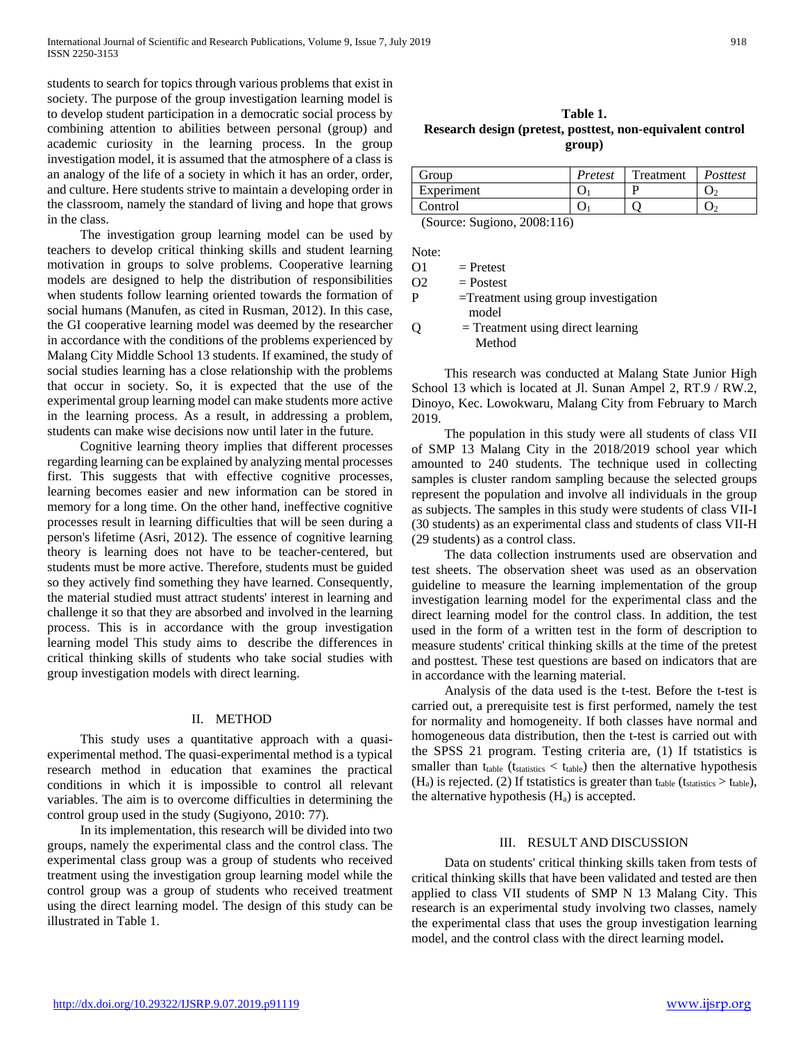students to search for topics through various problems that exist in society. The purpose of the group investigation learning model is to develop student participation in a democratic social process by combining attention to abilities between personal (group) and academic curiosity in the learning process. In the group investigation model, it is assumed that the atmosphere of a class is an analogy of the life of a society in which it has an order, order, and culture. Here students strive to maintain a developing order in the classroom, namely the standard of living and hope that grows in the class.

 The investigation group learning model can be used by teachers to develop critical thinking skills and student learning motivation in groups to solve problems. Cooperative learning models are designed to help the distribution of responsibilities when students follow learning oriented towards the formation of social humans (Manufen, as cited in Rusman, 2012). In this case, the GI cooperative learning model was deemed by the researcher in accordance with the conditions of the problems experienced by Malang City Middle School 13 students. If examined, the study of social studies learning has a close relationship with the problems that occur in society. So, it is expected that the use of the experimental group learning model can make students more active in the learning process. As a result, in addressing a problem, students can make wise decisions now until later in the future.

 Cognitive learning theory implies that different processes regarding learning can be explained by analyzing mental processes first. This suggests that with effective cognitive processes, learning becomes easier and new information can be stored in memory for a long time. On the other hand, ineffective cognitive processes result in learning difficulties that will be seen during a person's lifetime (Asri, 2012). The essence of cognitive learning theory is learning does not have to be teacher-centered, but students must be more active. Therefore, students must be guided so they actively find something they have learned. Consequently, the material studied must attract students' interest in learning and challenge it so that they are absorbed and involved in the learning process. This is in accordance with the group investigation learning model This study aims to describe the differences in critical thinking skills of students who take social studies with group investigation models with direct learning.

#### II. METHOD

 This study uses a quantitative approach with a quasiexperimental method. The quasi-experimental method is a typical research method in education that examines the practical conditions in which it is impossible to control all relevant variables. The aim is to overcome difficulties in determining the control group used in the study (Sugiyono, 2010: 77).

 In its implementation, this research will be divided into two groups, namely the experimental class and the control class. The experimental class group was a group of students who received treatment using the investigation group learning model while the control group was a group of students who received treatment using the direct learning model. The design of this study can be illustrated in Table 1.

**Table 1. Research design (pretest, posttest, non-equivalent control group)**

| Group                                   | Pretest | Treatment | Posttest |  |  |
|-----------------------------------------|---------|-----------|----------|--|--|
| Experiment                              |         |           |          |  |  |
| Control                                 |         |           |          |  |  |
| $(0, \ldots, 0, 1, \ldots)$<br>0.000117 |         |           |          |  |  |

(Source: Sugiono, 2008:116)

Note:

 $O1 =$ Pretest

| Postest |
|---------|
|         |

| P | $=$ Treatment using group investigation |
|---|-----------------------------------------|
|   | model                                   |
| 0 | $=$ Treatment using direct learning     |
|   | Method                                  |

 This research was conducted at Malang State Junior High School 13 which is located at Jl. Sunan Ampel 2, RT.9 / RW.2, Dinoyo, Kec. Lowokwaru, Malang City from February to March 2019.

 The population in this study were all students of class VII of SMP 13 Malang City in the 2018/2019 school year which amounted to 240 students. The technique used in collecting samples is cluster random sampling because the selected groups represent the population and involve all individuals in the group as subjects. The samples in this study were students of class VII-I (30 students) as an experimental class and students of class VII-H (29 students) as a control class.

 The data collection instruments used are observation and test sheets. The observation sheet was used as an observation guideline to measure the learning implementation of the group investigation learning model for the experimental class and the direct learning model for the control class. In addition, the test used in the form of a written test in the form of description to measure students' critical thinking skills at the time of the pretest and posttest. These test questions are based on indicators that are in accordance with the learning material.

 Analysis of the data used is the t-test. Before the t-test is carried out, a prerequisite test is first performed, namely the test for normality and homogeneity. If both classes have normal and homogeneous data distribution, then the t-test is carried out with the SPSS 21 program. Testing criteria are, (1) If tstatistics is smaller than  $t_{table}$  ( $t_{statistics} < t_{table}$ ) then the alternative hypothesis  $(H_a)$  is rejected. (2) If tstatistics is greater than  $t_{table}$  ( $t_{statics} > t_{table}$ ), the alternative hypothesis (Ha) is accepted.

#### III. RESULT AND DISCUSSION

 Data on students' critical thinking skills taken from tests of critical thinking skills that have been validated and tested are then applied to class VII students of SMP N 13 Malang City. This research is an experimental study involving two classes, namely the experimental class that uses the group investigation learning model, and the control class with the direct learning model**.**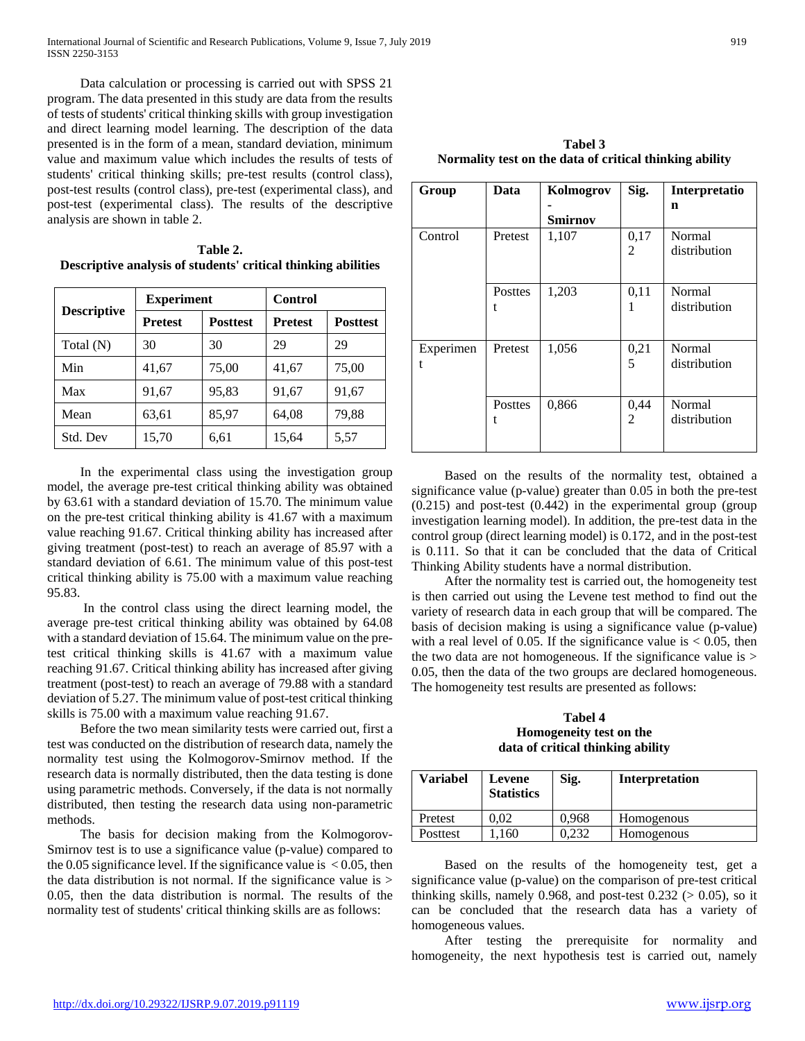Data calculation or processing is carried out with SPSS 21 program. The data presented in this study are data from the results of tests of students' critical thinking skills with group investigation and direct learning model learning. The description of the data presented is in the form of a mean, standard deviation, minimum value and maximum value which includes the results of tests of students' critical thinking skills; pre-test results (control class), post-test results (control class), pre-test (experimental class), and post-test (experimental class). The results of the descriptive analysis are shown in table 2.

**Table 2. Descriptive analysis of students' critical thinking abilities**

| <b>Descriptive</b> | <b>Experiment</b> |                 | Control        |                 |  |
|--------------------|-------------------|-----------------|----------------|-----------------|--|
|                    | <b>Pretest</b>    | <b>Posttest</b> | <b>Pretest</b> | <b>Posttest</b> |  |
| Total (N)          | 30                | 30              | 29             | 29              |  |
| Min                | 41,67             | 75,00           | 41,67          | 75,00           |  |
| Max                | 91,67             | 95,83           | 91,67          | 91,67           |  |
| Mean               | 63,61             | 85,97           | 64,08          | 79,88           |  |
| Std. Dev           | 15,70             | 6,61            | 15,64          | 5,57            |  |

 In the experimental class using the investigation group model, the average pre-test critical thinking ability was obtained by 63.61 with a standard deviation of 15.70. The minimum value on the pre-test critical thinking ability is 41.67 with a maximum value reaching 91.67. Critical thinking ability has increased after giving treatment (post-test) to reach an average of 85.97 with a standard deviation of 6.61. The minimum value of this post-test critical thinking ability is 75.00 with a maximum value reaching 95.83.

 In the control class using the direct learning model, the average pre-test critical thinking ability was obtained by 64.08 with a standard deviation of 15.64. The minimum value on the pretest critical thinking skills is 41.67 with a maximum value reaching 91.67. Critical thinking ability has increased after giving treatment (post-test) to reach an average of 79.88 with a standard deviation of 5.27. The minimum value of post-test critical thinking skills is 75.00 with a maximum value reaching 91.67.

 Before the two mean similarity tests were carried out, first a test was conducted on the distribution of research data, namely the normality test using the Kolmogorov-Smirnov method. If the research data is normally distributed, then the data testing is done using parametric methods. Conversely, if the data is not normally distributed, then testing the research data using non-parametric methods.

 The basis for decision making from the Kolmogorov-Smirnov test is to use a significance value (p-value) compared to the 0.05 significance level. If the significance value is  $< 0.05$ , then the data distribution is not normal. If the significance value is  $>$ 0.05, then the data distribution is normal. The results of the normality test of students' critical thinking skills are as follows:

**Tabel 3 Normality test on the data of critical thinking ability**

| Group     | Data    | Sig.<br>Kolmogrov |      | Interpretatio |
|-----------|---------|-------------------|------|---------------|
|           |         |                   |      | n             |
|           |         | <b>Smirnov</b>    |      |               |
| Control   | Pretest | 1,107             | 0,17 | Normal        |
|           |         |                   | 2    | distribution  |
|           |         |                   |      |               |
|           |         |                   |      |               |
|           | Posttes | 1,203             | 0,11 | Normal        |
|           |         |                   |      | distribution  |
|           |         |                   |      |               |
| Experimen | Pretest | 1,056             | 0,21 | Normal        |
| t         |         |                   | 5    | distribution  |
|           |         |                   |      |               |
|           |         |                   |      |               |
|           | Posttes | 0,866             | 0,44 | Normal        |
|           | t       |                   | 2    | distribution  |
|           |         |                   |      |               |
|           |         |                   |      |               |

 Based on the results of the normality test, obtained a significance value (p-value) greater than 0.05 in both the pre-test  $(0.215)$  and post-test  $(0.442)$  in the experimental group (group investigation learning model). In addition, the pre-test data in the control group (direct learning model) is 0.172, and in the post-test is 0.111. So that it can be concluded that the data of Critical Thinking Ability students have a normal distribution.

 After the normality test is carried out, the homogeneity test is then carried out using the Levene test method to find out the variety of research data in each group that will be compared. The basis of decision making is using a significance value (p-value) with a real level of 0.05. If the significance value is  $< 0.05$ , then the two data are not homogeneous. If the significance value is > 0.05, then the data of the two groups are declared homogeneous. The homogeneity test results are presented as follows:

**Tabel 4 Homogeneity test on the data of critical thinking ability**

| <b>Variabel</b> | Levene<br><b>Statistics</b> | Sig.  | <b>Interpretation</b> |
|-----------------|-----------------------------|-------|-----------------------|
| Pretest         | 0.02                        | 0.968 | Homogenous            |
| Posttest        | .160                        | 0.232 | Homogenous            |

 Based on the results of the homogeneity test, get a significance value (p-value) on the comparison of pre-test critical thinking skills, namely 0.968, and post-test  $0.232$  ( $> 0.05$ ), so it can be concluded that the research data has a variety of homogeneous values.

 After testing the prerequisite for normality and homogeneity, the next hypothesis test is carried out, namely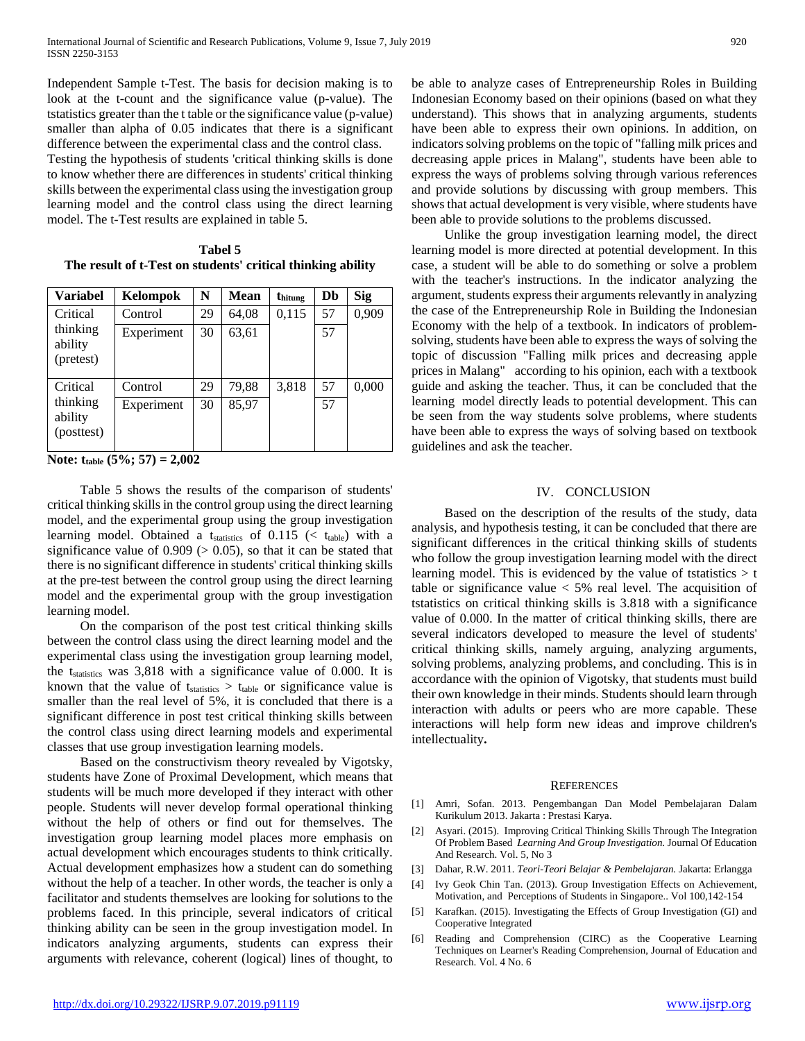Independent Sample t-Test. The basis for decision making is to look at the t-count and the significance value (p-value). The tstatistics greater than the t table or the significance value (p-value) smaller than alpha of 0.05 indicates that there is a significant difference between the experimental class and the control class.

Testing the hypothesis of students 'critical thinking skills is done to know whether there are differences in students' critical thinking skills between the experimental class using the investigation group learning model and the control class using the direct learning model. The t-Test results are explained in table 5.

**Tabel 5 The result of t-Test on students' critical thinking ability**

| <b>Variabel</b>                   | Kelompok   | N  | <b>Mean</b> | thitung | Db | <b>Sig</b> |
|-----------------------------------|------------|----|-------------|---------|----|------------|
| Critical                          | Control    | 29 | 64,08       | 0,115   | 57 | 0,909      |
| thinking<br>ability<br>(pretest)  | Experiment | 30 | 63,61       |         | 57 |            |
| Critical                          | Control    | 29 | 79,88       | 3,818   | 57 | 0,000      |
| thinking<br>ability<br>(posttest) | Experiment | 30 | 85,97       |         | 57 |            |

**Note: ttable (5%; 57) = 2,002**

 Table 5 shows the results of the comparison of students' critical thinking skills in the control group using the direct learning model, and the experimental group using the group investigation learning model. Obtained a t<sub>statistics</sub> of  $0.115$  (< ttable) with a significance value of  $0.909$  ( $> 0.05$ ), so that it can be stated that there is no significant difference in students' critical thinking skills at the pre-test between the control group using the direct learning model and the experimental group with the group investigation learning model.

 On the comparison of the post test critical thinking skills between the control class using the direct learning model and the experimental class using the investigation group learning model, the tstatistics was 3,818 with a significance value of 0.000. It is known that the value of  $t_{\text{statistics}} > t_{\text{table}}$  or significance value is smaller than the real level of 5%, it is concluded that there is a significant difference in post test critical thinking skills between the control class using direct learning models and experimental classes that use group investigation learning models.

 Based on the constructivism theory revealed by Vigotsky, students have Zone of Proximal Development, which means that students will be much more developed if they interact with other people. Students will never develop formal operational thinking without the help of others or find out for themselves. The investigation group learning model places more emphasis on actual development which encourages students to think critically. Actual development emphasizes how a student can do something without the help of a teacher. In other words, the teacher is only a facilitator and students themselves are looking for solutions to the problems faced. In this principle, several indicators of critical thinking ability can be seen in the group investigation model. In indicators analyzing arguments, students can express their arguments with relevance, coherent (logical) lines of thought, to

be able to analyze cases of Entrepreneurship Roles in Building Indonesian Economy based on their opinions (based on what they understand). This shows that in analyzing arguments, students have been able to express their own opinions. In addition, on indicators solving problems on the topic of "falling milk prices and decreasing apple prices in Malang", students have been able to express the ways of problems solving through various references and provide solutions by discussing with group members. This shows that actual development is very visible, where students have been able to provide solutions to the problems discussed.

 Unlike the group investigation learning model, the direct learning model is more directed at potential development. In this case, a student will be able to do something or solve a problem with the teacher's instructions. In the indicator analyzing the argument, students express their arguments relevantly in analyzing the case of the Entrepreneurship Role in Building the Indonesian Economy with the help of a textbook. In indicators of problemsolving, students have been able to express the ways of solving the topic of discussion "Falling milk prices and decreasing apple prices in Malang" according to his opinion, each with a textbook guide and asking the teacher. Thus, it can be concluded that the learning model directly leads to potential development. This can be seen from the way students solve problems, where students have been able to express the ways of solving based on textbook guidelines and ask the teacher.

#### IV. CONCLUSION

 Based on the description of the results of the study, data analysis, and hypothesis testing, it can be concluded that there are significant differences in the critical thinking skills of students who follow the group investigation learning model with the direct learning model. This is evidenced by the value of tstatistics  $> t$ table or significance value  $<$  5% real level. The acquisition of tstatistics on critical thinking skills is 3.818 with a significance value of 0.000. In the matter of critical thinking skills, there are several indicators developed to measure the level of students' critical thinking skills, namely arguing, analyzing arguments, solving problems, analyzing problems, and concluding. This is in accordance with the opinion of Vigotsky, that students must build their own knowledge in their minds. Students should learn through interaction with adults or peers who are more capable. These interactions will help form new ideas and improve children's intellectuality**.**

#### **REFERENCES**

- [1] Amri, Sofan. 2013. Pengembangan Dan Model Pembelajaran Dalam Kurikulum 2013. Jakarta : Prestasi Karya.
- [2] Asyari. (2015). Improving Critical Thinking Skills Through The Integration Of Problem Based *Learning And Group Investigation.* Journal Of Education And Research. Vol. 5, No 3
- [3] Dahar, R.W. 2011. *Teori-Teori Belajar & Pembelajaran.* Jakarta: Erlangga
- [4] Ivy Geok Chin Tan. (2013). Group Investigation Effects on Achievement, Motivation, and Perceptions of Students in Singapore.. Vol 100,142-154
- [5] Karafkan. (2015). Investigating the Effects of Group Investigation (GI) and Cooperative Integrated
- [6] Reading and Comprehension (CIRC) as the Cooperative Learning Techniques on Learner's Reading Comprehension, Journal of Education and Research. Vol. 4 No. 6